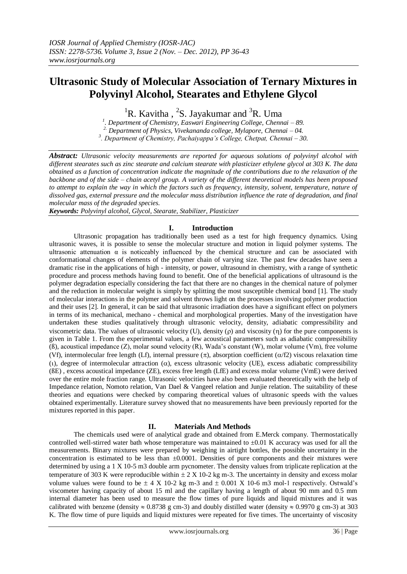# **Ultrasonic Study of Molecular Association of Ternary Mixtures in Polyvinyl Alcohol, Stearates and Ethylene Glycol**

<sup>1</sup>R. Kavitha, <sup>2</sup>S. Jayakumar and <sup>3</sup>R. Uma

*1 . Department of Chemistry, Easwari Engineering College, Chennai – 89. 2. Department of Physics, Vivekananda college, Mylapore, Chennai – 04. 3 . Department of Chemistry, Pachaiyappa's College, Chetpat, Chennai – 30.*

*Abstract: Ultrasonic velocity measurements are reported for aqueous solutions of polyvinyl alcohol with different stearates such as zinc stearate and calcium stearate with plasticizer ethylene glycol at 303 K. The data obtained as a function of concentration indicate the magnitude of the contributions due to the relaxation of the backbone and of the side – chain acetyl group. A variety of the different theoretical models has been proposed to attempt to explain the way in which the factors such as frequency, intensity, solvent, temperature, nature of dissolved gas, external pressure and the molecular mass distribution influence the rate of degradation, and final molecular mass of the degraded species.*

*Keywords: Polyvinyl alcohol, Glycol, Stearate, Stabilizer, Plasticizer*

## **I. Introduction**

Ultrasonic propagation has traditionally been used as a test for high frequency dynamics. Using ultrasonic waves, it is possible to sense the molecular structure and motion in liquid polymer systems. The ultrasonic attenuation  $\alpha$  is noticeably influenced by the chemical structure and can be associated with conformational changes of elements of the polymer chain of varying size. The past few decades have seen a dramatic rise in the applications of high - intensity, or power, ultrasound in chemistry, with a range of synthetic procedure and process methods having found to benefit. One of the beneficial applications of ultrasound is the polymer degradation especially considering the fact that there are no changes in the chemical nature of polymer and the reduction in molecular weight is simply by splitting the most susceptible chemical bond [1]. The study of molecular interactions in the polymer and solvent throws light on the processes involving polymer production and their uses [2]. In general, it can be said that ultrasonic irradiation does have a significant effect on polymers in terms of its mechanical, mechano - chemical and morphological properties. Many of the investigation have undertaken these studies qualitatively through ultrasonic velocity, density, adiabatic compressibility and viscometric data. The values of ultrasonic velocity (U), density ( $\rho$ ) and viscosity ( $\eta$ ) for the pure components is given in Table 1. From the experimental values, a few acoustical parameters such as adiabatic compressibility (ß), acoustical impedance (Z), molar sound velocity (R), Wada's constant (W), molar volume (Vm), free volume (Vf), intermolecular free length (Lf), internal pressure  $(\pi)$ , absorption coefficient ( $\alpha$ /f2) viscous relaxation time (t), degree of intermolecular attraction ( $\alpha$ ), excess ultrasonic velocity (UE), excess adiabatic compressibility (ßE) , excess acoustical impedance (ZE), excess free length (LfE) and excess molar volume (VmE) were derived over the entire mole fraction range. Ultrasonic velocities have also been evaluated theoretically with the help of Impedance relation, Nomoto relation, Van Dael & Vangeel relation and Junjie relation. The suitability of these theories and equations were checked by comparing theoretical values of ultrasonic speeds with the values obtained experimentally. Literature survey showed that no measurements have been previously reported for the mixtures reported in this paper.

## **II. Materials And Methods**

The chemicals used were of analytical grade and obtained from E.Merck company. Thermostatically controlled well-stirred water bath whose temperature was maintained to  $\pm 0.01$  K accuracy was used for all the measurements. Binary mixtures were prepared by weighing in airtight bottles, the possible uncertainty in the concentration is estimated to be less than  $\pm 0.0001$ . Densities of pure components and their mixtures were determined by using a 1 X 10-5 m3 double arm pycnometer. The density values from triplicate replication at the temperature of 303 K were reproducible within  $\pm$  2 X 10-2 kg m-3. The uncertainty in density and excess molar volume values were found to be  $\pm$  4 X 10-2 kg m-3 and  $\pm$  0.001 X 10-6 m3 mol-1 respectively. Ostwald's viscometer having capacity of about 15 ml and the capillary having a length of about 90 mm and 0.5 mm internal diameter has been used to measure the flow times of pure liquids and liquid mixtures and it was calibrated with benzene (density  $\approx 0.8738$  g cm-3) and doubly distilled water (density  $\approx 0.9970$  g cm-3) at 303 K. The flow time of pure liquids and liquid mixtures were repeated for five times. The uncertainty of viscosity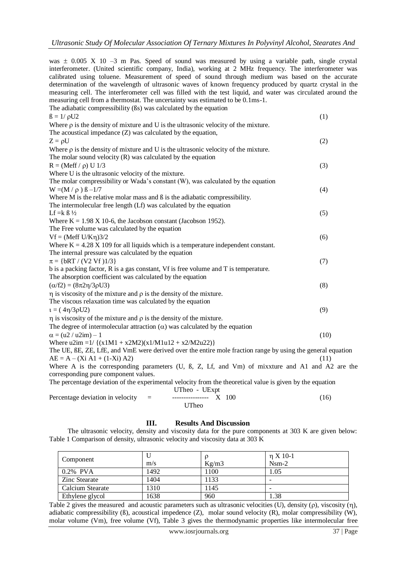was  $\pm$  0.005 X 10 –3 m Pas. Speed of sound was measured by using a variable path, single crystal interferometer. (United scientific company, India), working at 2 MHz frequency. The interferometer was calibrated using toluene. Measurement of speed of sound through medium was based on the accurate determination of the wavelength of ultrasonic waves of known frequency produced by quartz crystal in the measuring cell. The interferometer cell was filled with the test liquid, and water was circulated around the measuring cell from a thermostat. The uncertainty was estimated to be 0.1ms-1. The adiabatic compressibility (ßs) was calculated by the equation  $B = 1/\rho U2$  (1) Where  $\rho$  is the density of mixture and U is the ultrasonic velocity of the mixture. The acoustical impedance (Z) was calculated by the equation,  $Z = \rho U$  (2) Where  $\rho$  is the density of mixture and U is the ultrasonic velocity of the mixture. The molar sound velocity (R) was calculated by the equation  $R = (Meff / \rho) U 1/3$  (3) Where U is the ultrasonic velocity of the mixture. The molar compressibility or Wada's constant (W), was calculated by the equation  $W = (M / \rho) \beta -1/7$  (4) Where M is the relative molar mass and  $\beta$  is the adiabatic compressibility. The intermolecular free length (Lf) was calculated by the equation Lf = k  $\beta$  ½ (5) Where  $K = 1.98 X 10-6$ , the Jacobson constant (Jacobson 1952). The Free volume was calculated by the equation  $Vf = (Meff U/K\eta)3/2$  (6) Where  $K = 4.28$  X 109 for all liquids which is a temperature independent constant. The internal pressure was calculated by the equation  $\pi = \{bRT / (V2 Vf) \}$  (7) b is a packing factor, R is a gas constant, Vf is free volume and T is temperature. The absorption coefficient was calculated by the equation  $(\alpha/\text{f2}) = (8\pi2\eta/3\rho U3)$  (8)  $\eta$  is viscosity of the mixture and  $\rho$  is the density of the mixture. The viscous relaxation time was calculated by the equation  $t = (4\eta/3\rho U2)$  (9)  $\eta$  is viscosity of the mixture and  $\rho$  is the density of the mixture. The degree of intermolecular attraction  $(\alpha)$  was calculated by the equation  $\alpha = (u2 / u2im) - 1$  (10) Where  $u2im = 1/({x1M1 + x2M2)(x1/M1u12 + x2/M2u22})$ The UE, ßE, ZE, LfE, and VmE were derived over the entire mole fraction range by using the general equation  $AE = A - (Xi A1 + (1-Xi) A2)$ Where A is the corresponding parameters (U, ß, Z, Lf, and Vm) of mixxture and A1 and A2 are the corresponding pure component values. The percentage deviation of the experimental velocity from the theoretical value is given by the equation

UTheo - UExpt

| Percentage deviation in velocity $=$ | $---------  X 100$ |  | (16) |
|--------------------------------------|--------------------|--|------|
|                                      | UTheo              |  |      |

## **III. Results And Discussion**

The ultrasonic velocity, density and viscosity data for the pure components at 303 K are given below: Table 1 Comparison of density, ultrasonic velocity and viscosity data at 303 K

| Component        | m/s  | Kg/m3 | $\eta$ X 10-1<br>$Nsm-2$ |
|------------------|------|-------|--------------------------|
| 0.2% PVA         | 1492 | 1100  | 1.05                     |
| Zinc Stearate    | 1404 | 1133  | -                        |
| Calcium Stearate | 1310 | 1145  | -                        |
| Ethylene glycol  | 1638 | 960   | 1.38                     |

Table 2 gives the measured and acoustic parameters such as ultrasonic velocities (U), density ( $\rho$ ), viscosity ( $\eta$ ), adiabatic compressibility (ß), acoustical impedence (Z), molar sound velocity (R), molar compressibility (W), molar volume (Vm), free volume (Vf), Table 3 gives the thermodynamic properties like intermolecular free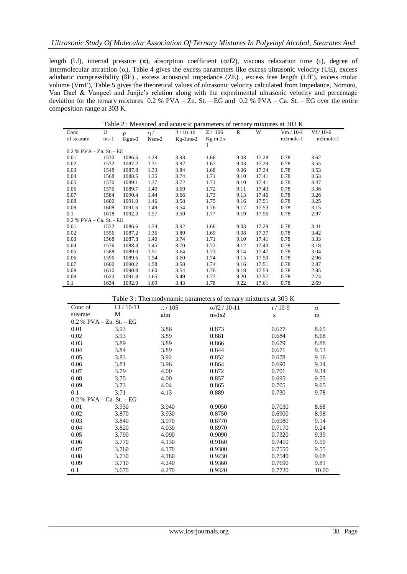length (Lf), internal pressure  $(\pi)$ , absorption coefficient ( $\alpha$ /f2), viscous relaxation time (i), degree of intermolecular attraction  $(\alpha)$ , Table 4 gives the excess parameters like excess ultrasonic velocity (UE), excess adiabatic compressibility (ßE) , excess acoustical impedance (ZE) , excess free length (LfE), excess molar volume (VmE), Table 5 gives the theoretical values of ultrasonic velocity calculated from Impedance, Nomoto, Van Dael & Vangeel and Junjie's relation along with the experimental ultrasonic velocity and percentage deviation for the ternary mixtures  $0.2 %$  PVA –  $\overline{Z}$ n. St. – EG and  $0.2 %$  PVA – Ca. St. – EG over the entire composition range at 303 K.

| Table 2 : Measured and acoustic parameters of ternary mixtures at 303 K |        |         |          |                 |            |      |       |             |             |
|-------------------------------------------------------------------------|--------|---------|----------|-----------------|------------|------|-------|-------------|-------------|
| Conc                                                                    | U      | $\rho$  | $\eta$ / | $\beta$ / 10-10 | Z/106      | R    | W     | $Vm / 10-1$ | $Vf / 10-6$ |
| of stearate                                                             | $ms-1$ | $Kgm-3$ | $Nsm-2$  | $Kg-1ms-2$      | $Kg$ m-2s- |      |       | m3mole-1    | m3mole-1    |
|                                                                         |        |         |          |                 | 1          |      |       |             |             |
| $0.2$ % PVA $-$ Zn. St. $-$ EG                                          |        |         |          |                 |            |      |       |             |             |
| 0.01                                                                    | 1530   | 1086.6  | 1.29     | 3.93            | 1.66       | 9.03 | 17.28 | 0.78        | 3.62        |
| 0.02                                                                    | 1532   | 1087.2  | 1.31     | 3.92            | 1.67       | 9.03 | 17.29 | 0.78        | 3.55        |
| 0.03                                                                    | 1548   | 1087.8  | 1.33     | 3.84            | 1.68       | 9.06 | 17.34 | 0.78        | 3.53        |
| 0.04                                                                    | 1568   | 1088.5  | 1.35     | 3.74            | 1.71       | 9.10 | 17.41 | 0.78        | 3.53        |
| 0.05                                                                    | 1570   | 1089.1  | 1.37     | 3.72            | 1.71       | 9.10 | 17.41 | 0.78        | 3.47        |
| 0.06                                                                    | 1576   | 1089.7  | 1.40     | 3.69            | 1.72       | 9.11 | 17.43 | 0.78        | 3.36        |
| 0.07                                                                    | 1584   | 1090.4  | 1.44     | 3.66            | 1.73       | 9.13 | 17.46 | 0.78        | 3.26        |
| 0.08                                                                    | 1600   | 1091.0  | 1.46     | 3.58            | 1.75       | 9.16 | 17.51 | 0.78        | 3.25        |
| 0.09                                                                    | 1608   | 1091.6  | 1.49     | 3.54            | 1.76       | 9.17 | 17.53 | 0.78        | 3.15        |
| 0.1                                                                     | 1618   | 1092.3  | 1.57     | 3.50            | 1.77       | 9.19 | 17.56 | 0.78        | 2.97        |
| 0.2 % PVA - Ca. St. - EG                                                |        |         |          |                 |            |      |       |             |             |
| 0.01                                                                    | 1532   | 1086.6  | 1.34     | 3.92            | 1.66       | 9.03 | 17.29 | 0.78        | 3.41        |
| 0.02                                                                    | 1556   | 1087.2  | 1.36     | 3.80            | 1.69       | 9.08 | 17.37 | 0.78        | 3.42        |
| 0.03                                                                    | 1568   | 1087.8  | 1.40     | 3.74            | 1.71       | 9.10 | 17.41 | 0.78        | 3.33        |
| 0.04                                                                    | 1576   | 1088.4  | 1.45     | 3.70            | 1.72       | 9.12 | 17.43 | 0.78        | 3.18        |
| 0.05                                                                    | 1588   | 1089.0  | 1.51     | 3.64            | 1.73       | 9.14 | 17.47 | 0.78        | 3.04        |
| 0.06                                                                    | 1596   | 1089.6  | 1.54     | 3.60            | 1.74       | 9.15 | 17.50 | 0.78        | 2.96        |
| 0.07                                                                    | 1600   | 1090.2  | 1.58     | 3.58            | 1.74       | 9.16 | 17.51 | 0.78        | 2.87        |
| 0.08                                                                    | 1610   | 1090.8  | 1.60     | 3.54            | 1.76       | 9.18 | 17.54 | 0.78        | 2.85        |
| 0.09                                                                    | 1620   | 1091.4  | 1.65     | 3.49            | 1.77       | 9.20 | 17.57 | 0.78        | 2.74        |
| 0.1                                                                     | 1634   | 1092.0  | 1.69     | 3.43            | 1.78       | 9.22 | 17.61 | 0.78        | 2.69        |

| Table 3 : Thermodynamic parameters of ternary mixtures at 303 K |              |           |                      |          |          |  |  |  |  |
|-----------------------------------------------------------------|--------------|-----------|----------------------|----------|----------|--|--|--|--|
| Conc of                                                         | $Lf / 10-11$ | $\pi/105$ | $\alpha$ /f2 / 10-11 | $t/10-9$ | $\alpha$ |  |  |  |  |
| stearate                                                        | М            | atm       | $m-1s2$              | S        | m        |  |  |  |  |
| $0.2 %$ PVA $- Zn$ . St. $- EG$                                 |              |           |                      |          |          |  |  |  |  |
| 0.01                                                            | 3.93         | 3.86      | 0.873                | 0.677    | 8.65     |  |  |  |  |
| 0.02                                                            | 3.93         | 3.89      | 0.881                | 0.684    | 8.68     |  |  |  |  |
| 0.03                                                            | 3.89         | 3.89      | 0.866                | 0.679    | 8.88     |  |  |  |  |
| 0.04                                                            | 3.84         | 3.89      | 0.844                | 0.671    | 9.13     |  |  |  |  |
| 0.05                                                            | 3.83         | 3.92      | 0.852                | 0.678    | 9.16     |  |  |  |  |
| 0.06                                                            | 3.81         | 3.96      | 0.864                | 0.690    | 9.24     |  |  |  |  |
| 0.07                                                            | 3.79         | 4.00      | 0.872                | 0.701    | 9.34     |  |  |  |  |
| 0.08                                                            | 3.75         | 4.00      | 0.857                | 0.695    | 9.55     |  |  |  |  |
| 0.09                                                            | 3.73         | 4.04      | 0.865                | 0.705    | 9.65     |  |  |  |  |
| 0.1                                                             | 3.71         | 4.13      | 0.889                | 0.730    | 9.78     |  |  |  |  |
| $0.2 %$ PVA – Ca. St. – EG                                      |              |           |                      |          |          |  |  |  |  |
| 0.01                                                            | 3.930        | 3.940     | 0.9050               | 0.7030   | 8.68     |  |  |  |  |
| 0.02                                                            | 3.870        | 3.930     | 0.8750               | 0.6900   | 8.98     |  |  |  |  |
| 0.03                                                            | 3.840        | 3.970     | 0.8770               | 0.6980   | 9.14     |  |  |  |  |
| 0.04                                                            | 3.820        | 4.030     | 0.8970               | 0.7170   | 9.24     |  |  |  |  |
| 0.05                                                            | 3.790        | 4.090     | 0.9090               | 0.7320   | 9.39     |  |  |  |  |
| 0.06                                                            | 3.770        | 4.130     | 0.9160               | 0.7410   | 9.50     |  |  |  |  |
| 0.07                                                            | 3.760        | 4.170     | 0.9300               | 0.7550   | 9.55     |  |  |  |  |
| 0.08                                                            | 3.730        | 4.180     | 0.9230               | 0.7540   | 9.68     |  |  |  |  |
| 0.09                                                            | 3.710        | 4.240     | 0.9360               | 0.7690   | 9.81     |  |  |  |  |
| 0.1                                                             | 3.670        | 4.270     | 0.9320               | 0.7720   | 10.00    |  |  |  |  |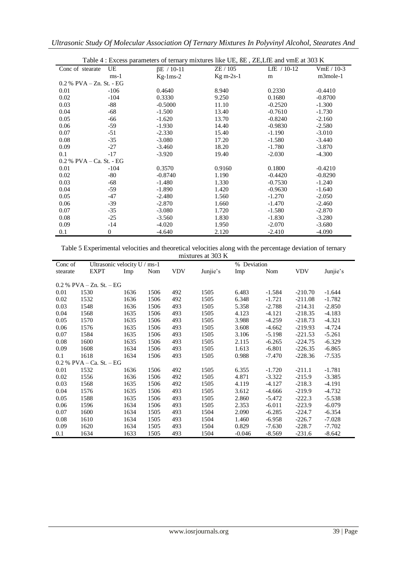|  |  |  |  |  |  | Ultrasonic Study Of Molecular Association Of Ternary Mixtures In Polyvinyl Alcohol, Stearates And |
|--|--|--|--|--|--|---------------------------------------------------------------------------------------------------|
|--|--|--|--|--|--|---------------------------------------------------------------------------------------------------|

| Table 4 : Excess parameters of ternary mixtures like UE, BE, ZE, LfE and vmE at 303 K |                  |                   |             |               |            |  |  |  |
|---------------------------------------------------------------------------------------|------------------|-------------------|-------------|---------------|------------|--|--|--|
| Conc of stearate                                                                      | UE               | $\beta E$ / 10-11 | ZE / 105    | LfE $/ 10-12$ | $VmE/10-3$ |  |  |  |
|                                                                                       | $ms-1$           | $Kg-1ms-2$        | $Kg m-2s-1$ | m             | m3mole-1   |  |  |  |
| $0.2\%$ PVA $-Zn$ . St. - EG                                                          |                  |                   |             |               |            |  |  |  |
| 0.01                                                                                  | $-106$           | 0.4640            | 8.940       | 0.2330        | $-0.4410$  |  |  |  |
| 0.02                                                                                  | $-104$           | 0.3330            | 9.250       | 0.1680        | $-0.8700$  |  |  |  |
| 0.03                                                                                  | $-88$            | $-0.5000$         | 11.10       | $-0.2520$     | $-1.300$   |  |  |  |
| 0.04                                                                                  | $-68$            | $-1.500$          | 13.40       | $-0.7610$     | $-1.730$   |  |  |  |
| 0.05                                                                                  | $-66$            | $-1.620$          | 13.70       | $-0.8240$     | $-2.160$   |  |  |  |
| 0.06                                                                                  | $-59$            | $-1.930$          | 14.40       | $-0.9830$     | $-2.580$   |  |  |  |
| 0.07                                                                                  | $-51$            | $-2.330$          | 15.40       | $-1.190$      | $-3.010$   |  |  |  |
| 0.08                                                                                  | $-35$            | $-3.080$          | 17.20       | $-1.580$      | $-3.440$   |  |  |  |
| 0.09                                                                                  | $-27$            | $-3.460$          | 18.20       | $-1.780$      | $-3.870$   |  |  |  |
| 0.1                                                                                   | $-17$            | $-3.920$          | 19.40       | $-2.030$      | $-4.300$   |  |  |  |
| 0.2 % PVA – Ca. St. - EG                                                              |                  |                   |             |               |            |  |  |  |
| 0.01                                                                                  | $-104$           | 0.3570            | 0.9160      | 0.1800        | $-0.4210$  |  |  |  |
| 0.02                                                                                  | $-80$            | $-0.8740$         | 1.190       | $-0.4420$     | $-0.8290$  |  |  |  |
| 0.03                                                                                  | $-68$            | $-1.480$          | 1.330       | $-0.7530$     | $-1.240$   |  |  |  |
| 0.04                                                                                  | $-59$            | $-1.890$          | 1.420       | $-0.9630$     | $-1.640$   |  |  |  |
| 0.05                                                                                  | $-47$            | $-2.480$          | 1.560       | $-1.270$      | $-2.050$   |  |  |  |
| 0.06                                                                                  | $-39$            | $-2.870$          | 1.660       | $-1.470$      | $-2.460$   |  |  |  |
| 0.07                                                                                  | $-35$            | $-3.080$          | 1.720       | $-1.580$      | $-2.870$   |  |  |  |
| 0.08                                                                                  | $-25$            | $-3.560$          | 1.830       | $-1.830$      | $-3.280$   |  |  |  |
| 0.09                                                                                  | $-14$            | $-4.020$          | 1.950       | $-2.070$      | $-3.680$   |  |  |  |
| 0.1                                                                                   | $\boldsymbol{0}$ | $-4.640$          | 2.120       | $-2.410$      | $-4.090$   |  |  |  |

Table 5 Experimental velocities and theoretical velocities along with the percentage deviation of ternary mixtures at 303 K

|          |                              |      |      |            | $\mu$ $\mu$ $\lambda$ $\mu$ $\lambda$ $\sigma$ $\mu$ $\lambda$ |             |          |            |          |
|----------|------------------------------|------|------|------------|----------------------------------------------------------------|-------------|----------|------------|----------|
| Conc of  | Ultrasonic velocity $U/ms-1$ |      |      |            |                                                                | % Deviation |          |            |          |
| stearate | <b>EXPT</b>                  | Imp  | Nom  | <b>VDV</b> | Junjie's                                                       | Imp         | Nom      | <b>VDV</b> | Junjie's |
|          |                              |      |      |            |                                                                |             |          |            |          |
|          | $0.2\%$ PVA – Zn. St. – EG   |      |      |            |                                                                |             |          |            |          |
| 0.01     | 1530                         | 1636 | 1506 | 492        | 1505                                                           | 6.483       | $-1.584$ | $-210.70$  | $-1.644$ |
| 0.02     | 1532                         | 1636 | 1506 | 492        | 1505                                                           | 6.348       | $-1.721$ | $-211.08$  | $-1.782$ |
| 0.03     | 1548                         | 1636 | 1506 | 493        | 1505                                                           | 5.358       | $-2.788$ | $-214.31$  | $-2.850$ |
| 0.04     | 1568                         | 1635 | 1506 | 493        | 1505                                                           | 4.123       | $-4.121$ | $-218.35$  | $-4.183$ |
| 0.05     | 1570                         | 1635 | 1506 | 493        | 1505                                                           | 3.988       | $-4.259$ | $-218.73$  | $-4.321$ |
| 0.06     | 1576                         | 1635 | 1506 | 493        | 1505                                                           | 3.608       | $-4.662$ | $-219.93$  | $-4.724$ |
| 0.07     | 1584                         | 1635 | 1506 | 493        | 1505                                                           | 3.106       | $-5.198$ | $-221.53$  | $-5.261$ |
| 0.08     | 1600                         | 1635 | 1506 | 493        | 1505                                                           | 2.115       | $-6.265$ | $-224.75$  | $-6.329$ |
| 0.09     | 1608                         | 1634 | 1506 | 493        | 1505                                                           | 1.613       | $-6.801$ | $-226.35$  | $-6.865$ |
| 0.1      | 1618                         | 1634 | 1506 | 493        | 1505                                                           | 0.988       | $-7.470$ | $-228.36$  | $-7.535$ |
|          | $0.2 % PVA - Ca. St. - EG$   |      |      |            |                                                                |             |          |            |          |
| 0.01     | 1532                         | 1636 | 1506 | 492        | 1505                                                           | 6.355       | $-1.720$ | $-211.1$   | $-1.781$ |
| 0.02     | 1556                         | 1636 | 1506 | 492        | 1505                                                           | 4.871       | $-3.322$ | $-215.9$   | $-3.385$ |
| 0.03     | 1568                         | 1635 | 1506 | 492        | 1505                                                           | 4.119       | $-4.127$ | $-218.3$   | $-4.191$ |
| 0.04     | 1576                         | 1635 | 1506 | 493        | 1505                                                           | 3.612       | $-4.666$ | $-219.9$   | $-4.732$ |
| 0.05     | 1588                         | 1635 | 1506 | 493        | 1505                                                           | 2.860       | $-5.472$ | $-222.3$   | $-5.538$ |
| 0.06     | 1596                         | 1634 | 1506 | 493        | 1505                                                           | 2.353       | $-6.011$ | $-223.9$   | $-6.079$ |
| 0.07     | 1600                         | 1634 | 1505 | 493        | 1504                                                           | 2.090       | $-6.285$ | $-224.7$   | $-6.354$ |
| 0.08     | 1610                         | 1634 | 1505 | 493        | 1504                                                           | 1.460       | $-6.958$ | $-226.7$   | $-7.028$ |
| 0.09     | 1620                         | 1634 | 1505 | 493        | 1504                                                           | 0.829       | $-7.630$ | $-228.7$   | $-7.702$ |
| 0.1      | 1634                         | 1633 | 1505 | 493        | 1504                                                           | $-0.046$    | $-8.569$ | $-231.6$   | $-8.642$ |

-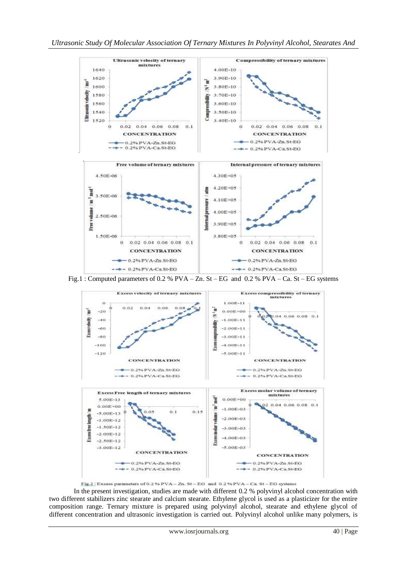

Fig.1 : Computed parameters of 0.2 % PVA – Zn. St – EG and 0.2 % PVA – Ca. St – EG systems



Fig.2: Excess parameters of 0.2 % PVA - Zn. St - EG and 0.2 % PVA - Ca. St - EG systems

In the present investigation, studies are made with different 0.2 % polyvinyl alcohol concentration with two different stabilizers zinc stearate and calcium stearate. Ethylene glycol is used as a plasticizer for the entire composition range. Ternary mixture is prepared using polyvinyl alcohol, stearate and ethylene glycol of different concentration and ultrasonic investigation is carried out. Polyvinyl alcohol unlike many polymers, is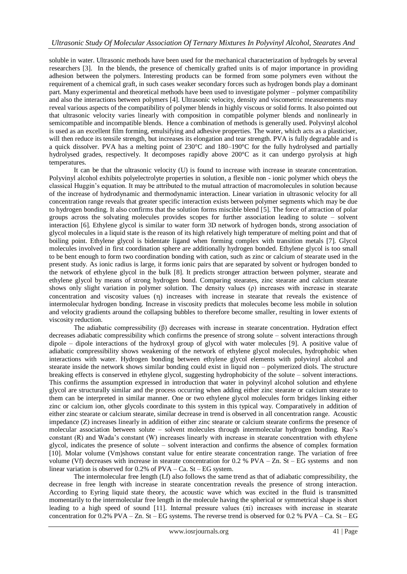soluble in water. Ultrasonic methods have been used for the mechanical characterization of hydrogels by several researchers [3]. In the blends, the presence of chemically grafted units is of major importance in providing adhesion between the polymers. Interesting products can be formed from some polymers even without the requirement of a chemical graft, in such cases weaker secondary forces such as hydrogen bonds play a dominant part. Many experimental and theoretical methods have been used to investigate polymer – polymer compatibility and also the interactions between polymers [4]. Ultrasonic velocity, density and viscometric measurements may reveal various aspects of the compatibility of polymer blends in highly viscous or solid forms. It also pointed out that ultrasonic velocity varies linearly with composition in compatible polymer blends and nonlinearly in semicompatible and incompatible blends. Hence a combination of methods is generally used. Polyvinyl alcohol is used as an excellent film forming, emulsifying and adhesive properties. The water, which acts as a plasticiser, will then reduce its tensile strength, but increases its elongation and tear strength. PVA is fully degradable and is a quick dissolver. PVA has a melting point of 230°C and 180–190°C for the fully hydrolysed and partially hydrolysed grades, respectively. It decomposes rapidly above 200°C as it can undergo pyrolysis at high temperatures.

It can be that the ultrasonic velocity (U) is found to increase with increase in stearate concentration. Polyvinyl alcohol exhibits polyelectrolyte properties in solution, a flexible non - ionic polymer which obeys the classical Huggin's equation. It may be attributed to the mutual attraction of macromolecules in solution because of the increase of hydrodynamic and thermodynamic interaction. Linear variation in ultrasonic velocity for all concentration range reveals that greater specific interaction exists between polymer segments which may be due to hydrogen bonding. It also confirms that the solution forms miscible blend [5]. The force of attraction of polar groups across the solvating molecules provides scopes for further association leading to solute – solvent interaction [6]. Ethylene glycol is similar to water form 3D network of hydrogen bonds, strong association of glycol molecules in a liquid state is the reason of its high relatively high temperature of melting point and that of boiling point. Ethylene glycol is bidentate ligand when forming complex with transition metals [7]. Glycol molecules involved in first coordination sphere are additionally hydrogen bonded. Ethylene glycol is too small to be bent enough to form two coordination bonding with cation, such as zinc or calcium of stearate used in the present study. As ionic radius is large, it forms ionic pairs that are separated by solvent or hydrogen bonded to the network of ethylene glycol in the bulk [8]. It predicts stronger attraction between polymer, stearate and ethylene glycol by means of strong hydrogen bond. Comparing stearates, zinc stearate and calcium stearate shows only slight variation in polymer solution. The density values (ρ) increases with increase in stearate concentration and viscosity values  $(n)$  increases with increase in stearate that reveals the existence of intermolecular hydrogen bonding. Increase in viscosity predicts that molecules become less mobile in solution and velocity gradients around the collapsing bubbles to therefore become smaller, resulting in lower extents of viscosity reduction.

The adiabatic compressibility (β) decreases with increase in stearate concentration. Hydration effect decreases adiabatic compressibility which confirms the presence of strong solute – solvent interactions through dipole – dipole interactions of the hydroxyl group of glycol with water molecules [9]. A positive value of adiabatic compressibility shows weakening of the network of ethylene glycol molecules, hydrophobic when interactions with water. Hydrogen bonding between ethylene glycol elements with polyvinyl alcohol and stearate inside the network shows similar bonding could exist in liquid non – polymerized diols. The structure breaking effects is conserved in ethylene glycol, suggesting hydrophobicity of the solute – solvent interactions. This confirms the assumption expressed in introduction that water in polyvinyl alcohol solution and ethylene glycol are structurally similar and the process occurring when adding either zinc stearate or calcium stearate to them can be interpreted in similar manner. One or two ethylene glycol molecules form bridges linking either zinc or calcium ion, other glycols coordinate to this system in this typical way. Comparatively in addition of either zinc stearate or calcium stearate, similar decrease in trend is observed in all concentration range. Acoustic impedance (Z) increases linearly in addition of either zinc stearate or calcium stearate confirms the presence of molecular association between solute – solvent molecules through intermolecular hydrogen bonding. Rao's constant (R) and Wada's constant (W) increases linearly with increase in stearate concentration with ethylene glycol, indicates the presence of solute – solvent interaction and confirms the absence of complex formation [10]. Molar volume (Vm)shows constant value for entire stearate concentration range. The variation of free volume (Vf) decreases with increase in stearate concentration for 0.2 % PVA – Zn. St – EG systems and non linear variation is observed for 0.2% of PVA – Ca. St – EG system.

The intermolecular free length (Lf) also follows the same trend as that of adiabatic compressibility, the decrease in free length with increase in stearate concentration reveals the presence of strong interaction. According to Eyring liquid state theory, the acoustic wave which was excited in the fluid is transmitted momentarily to the intermolecular free length in the molecule having the spherical or symmetrical shape is short leading to a high speed of sound [11]. Internal pressure values  $(\pi i)$  increases with increase in stearate concentration for 0.2% PVA – Zn. St – EG systems. The reverse trend is observed for 0.2 % PVA – Ca. St – EG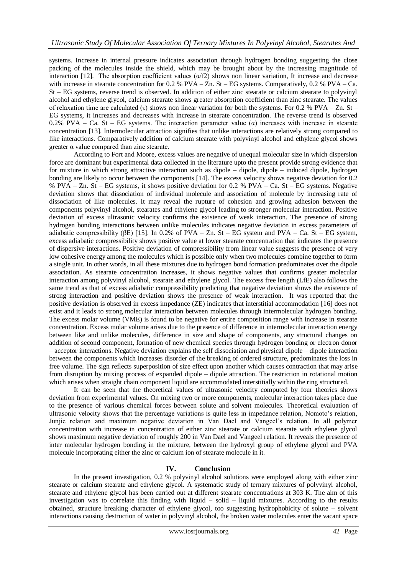systems. Increase in internal pressure indicates association through hydrogen bonding suggesting the close packing of the molecules inside the shield, which may be brought about by the increasing magnitude of interaction [12]. The absorption coefficient values  $(\alpha/f2)$  shows non linear variation, It increase and decrease with increase in stearate concentration for  $0.2$  % PVA – Zn. St – EG systems. Comparatively,  $0.2$  % PVA – Ca. St – EG systems, reverse trend is observed. In addition of either zinc stearate or calcium stearate to polyvinyl alcohol and ethylene glycol, calcium stearate shows greater absorption coefficient than zinc stearate. The values of relaxation time are calculated (τ) shows non linear variation for both the systems. For 0.2 % PVA – Zn. St – EG systems, it increases and decreases with increase in stearate concentration. The reverse trend is observed 0.2% PVA – Ca. St – EG systems. The interaction parameter value  $\alpha$  increases with increase in stearate concentration [13]. Intermolecular attraction signifies that unlike interactions are relatively strong compared to like interactions. Comparatively addition of calcium stearate with polyvinyl alcohol and ethylene glycol shows  $\alpha$  value compared than zinc stearate.

According to Fort and Moore, excess values are negative of unequal molecular size in which dispersion force are dominant but experimental data collected in the literature upto the present provide strong evidence that for mixture in which strong attractive interaction such as dipole – dipole, dipole – induced dipole, hydrogen bonding are likely to occur between the components [14]. The excess velocity shows negative deviation for 0.2 % PVA – Zn. St – EG systems, it shows positive deviation for 0.2 % PVA – Ca. St – EG systems. Negative deviation shows that dissociation of individual molecule and association of molecule by increasing rate of dissociation of like molecules. It may reveal the rupture of cohesion and growing adhesion between the components polyvinyl alcohol, stearates and ethylene glycol leading to stronger molecular interaction. Positive deviation of excess ultrasonic velocity confirms the existence of weak interaction. The presence of strong hydrogen bonding interactions between unlike molecules indicates negative deviation in excess parameters of adiabatic compressibility ( $\beta$ E) [15]. In 0.2% of PVA – Zn. St – EG system and PVA – Ca. St – EG system, excess adiabatic compressibility shows positive value at lower stearate concentration that indicates the presence of dispersive interactions. Positive deviation of compressibility from linear value suggests the presence of very low cohesive energy among the molecules which is possible only when two molecules combine together to form a single unit. In other words, in all these mixtures due to hydrogen bond formation predominates over the dipole association. As stearate concentration increases, it shows negative values that confirms greater molecular interaction among polyvinyl alcohol, stearate and ethylene glycol. The excess free length (LfE) also follows the same trend as that of excess adiabatic compressibility predicting that negative deviation shows the existence of strong interaction and positive deviation shows the presence of weak interaction. It was reported that the positive deviation is observed in excess impedance (ZE) indicates that interstitial accommodation [16] does not exist and it leads to strong molecular interaction between molecules through intermolecular hydrogen bonding. The excess molar volume (VME) is found to be negative for entire composition range with increase in stearate concentration. Excess molar volume arises due to the presence of difference in intermolecular interaction energy between like and unlike molecules, difference in size and shape of components, any structural changes on addition of second component, formation of new chemical species through hydrogen bonding or electron donor – acceptor interactions. Negative deviation explains the self dissociation and physical dipole – dipole interaction between the components which increases disorder of the breaking of ordered structure, predominates the loss in free volume. The sign reflects superposition of size effect upon another which causes contraction that may arise from disruption by mixing process of expanded dipole – dipole attraction. The restriction in rotational motion which arises when straight chain component liquid are accommodated interstitially within the ring structured.

It can be seen that the theoretical values of ultrasonic velocity computed by four theories shows deviation from experimental values. On mixing two or more components, molecular interaction takes place due to the presence of various chemical forces between solute and solvent molecules. Theoretical evaluation of ultrasonic velocity shows that the percentage variations is quite less in impedance relation, Nomoto's relation, Junjie relation and maximum negative deviation in Van Dael and Vangeel's relation. In all polymer concentration with increase in concentration of either zinc stearate or calcium stearate with ethylene glycol shows maximum negative deviation of roughly 200 in Van Dael and Vangeel relation. It reveals the presence of inter molecular hydrogen bonding in the mixture, between the hydroxyl group of ethylene glycol and PVA molecule incorporating either the zinc or calcium ion of stearate molecule in it.

## **IV. Conclusion**

In the present investigation, 0.2 % polyvinyl alcohol solutions were employed along with either zinc stearate or calcium stearate and ethylene glycol. A systematic study of ternary mixtures of polyvinyl alcohol, stearate and ethylene glycol has been carried out at different stearate concentrations at 303 K. The aim of this investigation was to correlate this finding with liquid – solid – liquid mixtures. According to the results obtained, structure breaking character of ethylene glycol, too suggesting hydrophobicity of solute – solvent interactions causing destruction of water in polyvinyl alcohol, the broken water molecules enter the vacant space